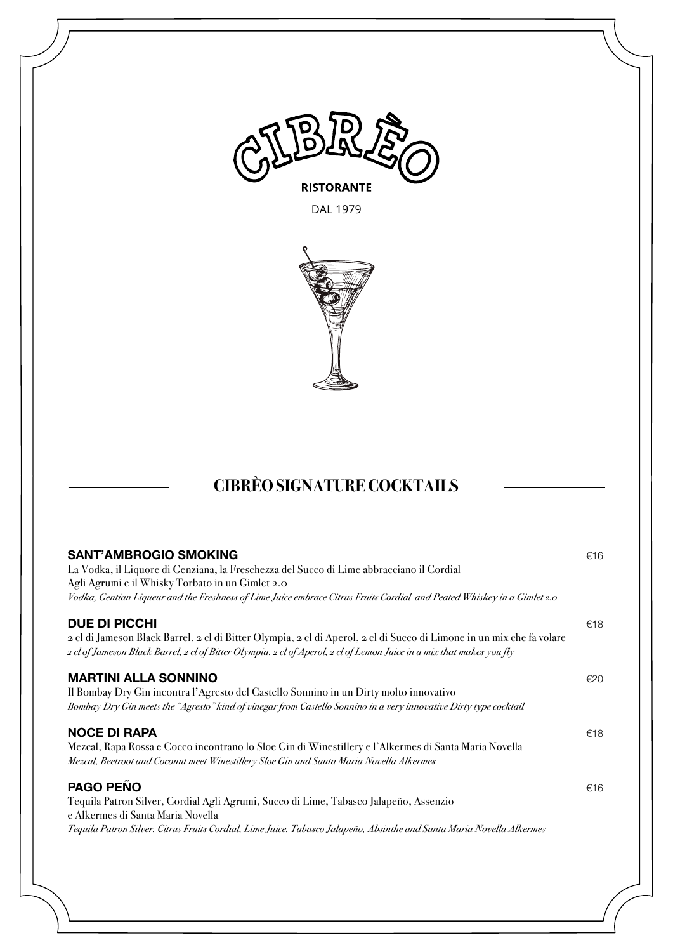

DAL 1979



# **CIBRÈO SIGNATURE COCKTAILS**

| <b>SANT'AMBROGIO SMOKING</b><br>La Vodka, il Liquore di Genziana, la Freschezza del Succo di Lime abbracciano il Cordial<br>Agli Agrumi e il Whisky Torbato in un Gimlet 2.0<br>Vodka, Gentian Liqueur and the Freshness of Lime Juice embrace Citrus Fruits Cordial and Peated Whiskey in a Gimlet 2.0 | €16 |
|---------------------------------------------------------------------------------------------------------------------------------------------------------------------------------------------------------------------------------------------------------------------------------------------------------|-----|
| <b>DUE DI PICCHI</b><br>2 cl di Jameson Black Barrel, 2 cl di Bitter Olympia, 2 cl di Aperol, 2 cl di Succo di Limone in un mix che fa volare<br>2 cl of Jameson Black Barrel, 2 cl of Bitter Olympia, 2 cl of Aperol, 2 cl of Lemon Juice in a mix that makes you fly                                  | €18 |
| <b>MARTINI ALLA SONNINO</b><br>Il Bombay Dry Gin incontra l'Agresto del Castello Sonnino in un Dirty molto innovativo<br>Bombay Dry Gin meets the "Agresto" kind of vinegar from Castello Sonnino in a very innovative Dirty type cocktail                                                              | €20 |
| <b>NOCE DI RAPA</b><br>Mezcal, Rapa Rossa e Cocco incontrano lo Sloe Gin di Winestillery e l'Alkermes di Santa Maria Novella<br>Mezcal, Beetroot and Coconut meet Winestillery Sloe Gin and Santa Maria Novella Alkermes                                                                                | €18 |
| <b>PAGO PEÑO</b><br>Tequila Patron Silver, Cordial Agli Agrumi, Succo di Lime, Tabasco Jalapeño, Assenzio<br>e Alkermes di Santa Maria Novella<br>Tequila Patron Silver, Citrus Fruits Cordial, Lime Juice, Tabasco Jalapeño, Absinthe and Santa Maria Novella Alkermes                                 | €16 |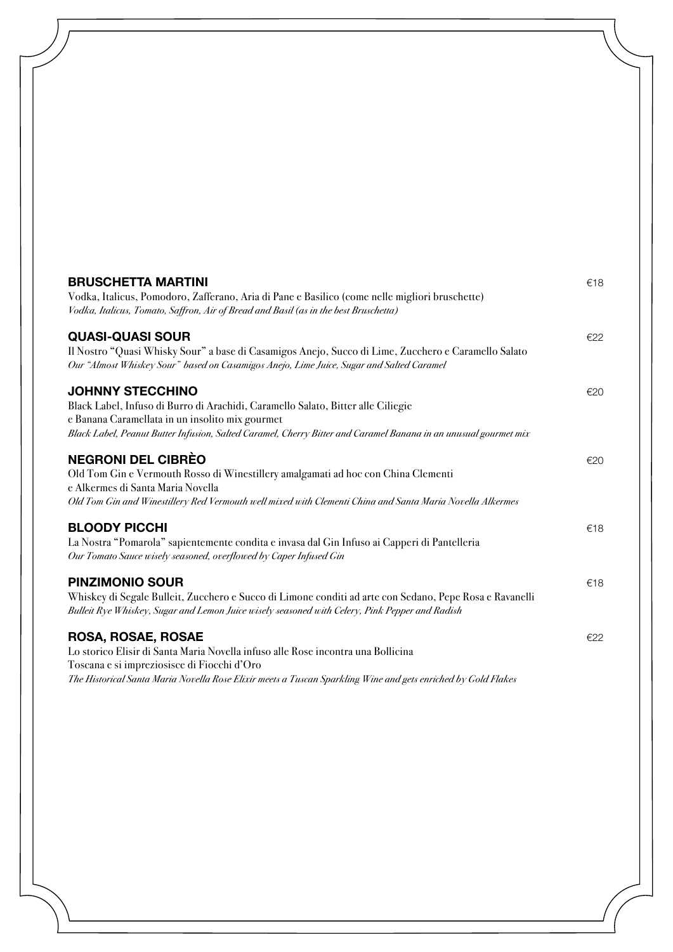| <b>BRUSCHETTA MARTINI</b><br>Vodka, Italicus, Pomodoro, Zafferano, Aria di Pane e Basilico (come nelle migliori bruschette)<br>Vodka, Italicus, Tomato, Saffron, Air of Bread and Basil (as in the best Bruschetta)                                                               | €18 |
|-----------------------------------------------------------------------------------------------------------------------------------------------------------------------------------------------------------------------------------------------------------------------------------|-----|
| <b>QUASI-QUASI SOUR</b><br>Il Nostro "Quasi Whisky Sour" a base di Casamigos Anejo, Succo di Lime, Zucchero e Caramello Salato<br>Our "Almost Whiskey Sour" based on Casamigos Anejo, Lime Juice, Sugar and Salted Caramel                                                        | €22 |
| <b>JOHNNY STECCHINO</b><br>Black Label, Infuso di Burro di Arachidi, Caramello Salato, Bitter alle Ciliegie<br>e Banana Caramellata in un insolito mix gourmet<br>Black Label, Peanut Butter Infusion, Salted Caramel, Cherry Bitter and Caramel Banana in an unusual gourmet mix | €20 |
| <b>NEGRONI DEL CIBRÈO</b><br>Old Tom Gin e Vermouth Rosso di Winestillery amalgamati ad hoc con China Clementi<br>e Alkermes di Santa Maria Novella<br>Old Tom Gin and Winestillery Red Vermouth well mixed with Clementi China and Santa Maria Novella Alkermes                  | €20 |
| <b>BLOODY PICCHI</b><br>La Nostra "Pomarola" sapientemente condita e invasa dal Gin Infuso ai Capperi di Pantelleria<br>Our Tomato Sauce wisely seasoned, overflowed by Caper Infused Gin                                                                                         | €18 |
| <b>PINZIMONIO SOUR</b><br>Whiskey di Segale Bulleit, Zucchero e Succo di Limone conditi ad arte con Sedano, Pepe Rosa e Ravanelli<br>Bulleit Rye Whiskey, Sugar and Lemon Juice wisely seasoned with Celery, Pink Pepper and Radish                                               | €18 |
| ROSA, ROSAE, ROSAE<br>Lo storico Elisir di Santa Maria Novella infuso alle Rose incontra una Bollicina<br>Toscana e si impreziosisce di Fiocchi d'Oro<br>The Historical Santa Maria Novella Rose Elixir meets a Tuscan Sparkling Wine and gets enriched by Gold Flakes            | €22 |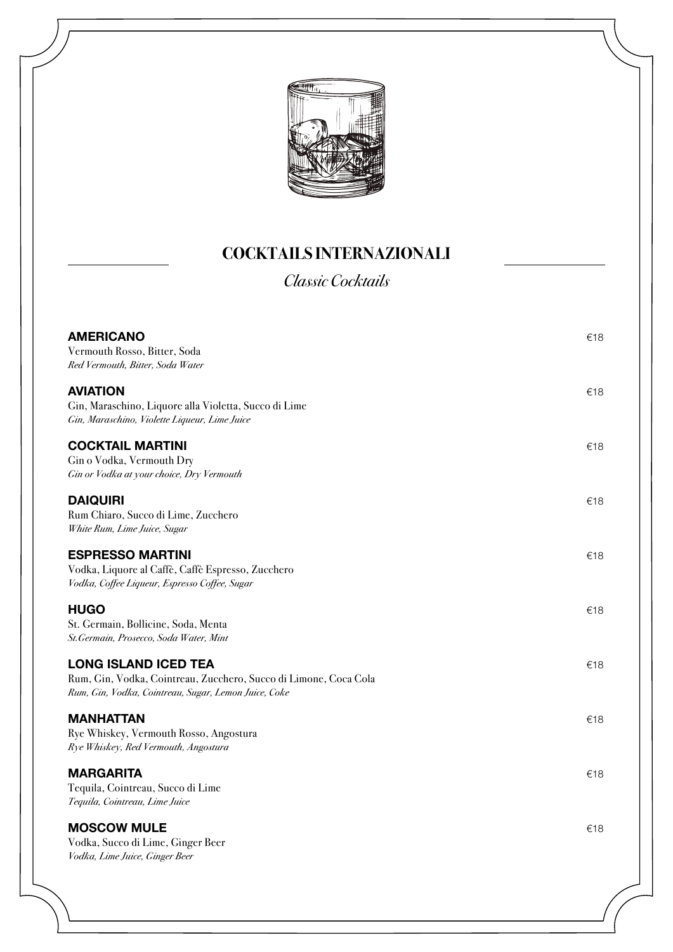

### **COCKTAILS INTERNAZIONALI**

*Classic Cocktails*

| <b>AMERICANO</b><br>Vermouth Rosso, Bitter, Soda<br>Red Vermouth, Bitter, Soda Water                                                                    | €18 |
|---------------------------------------------------------------------------------------------------------------------------------------------------------|-----|
| <b>AVIATION</b><br>Gin, Maraschino, Liquore alla Violetta, Succo di Lime<br>Gin, Maraschino, Violette Liqueur, Lime Juice                               | €18 |
| <b>COCKTAIL MARTINI</b><br>Gin o Vodka, Vermouth Dry<br>Gin or Vodka at your choice, Dry Vermouth                                                       | €18 |
| <b>DAIQUIRI</b><br>Rum Chiaro, Succo di Lime, Zucchero<br>White Rum, Lime Juice, Sugar                                                                  | €18 |
| <b>ESPRESSO MARTINI</b><br>Vodka, Liquore al Caffè, Caffè Espresso, Zucchero<br>Vodka, Coffee Liqueur, Espresso Coffee, Sugar                           | €18 |
| <b>HUGO</b><br>St. Germain, Bollicine, Soda, Menta<br>St.Germain, Prosecco, Soda Water, Mint                                                            | €18 |
| <b>LONG ISLAND ICED TEA</b><br>Rum, Gin, Vodka, Cointreau, Zucchero, Succo di Limone, Coca Cola<br>Rum, Gin, Vodka, Cointreau, Sugar, Lemon Juice, Coke | €18 |
| <b>MANHATTAN</b><br>Rye Whiskey, Vermouth Rosso, Angostura<br>Rye Whiskey, Red Vermouth, Angostura                                                      | €18 |
| <b>MARGARITA</b><br>Tequila, Cointreau, Succo di Lime<br>Tequila, Cointreau, Lime Juice                                                                 | €18 |
| <b>MOSCOW MULE</b><br>Vodka, Succo di Lime, Ginger Beer<br>Vodka, Lime Juice, Ginger Beer                                                               | €18 |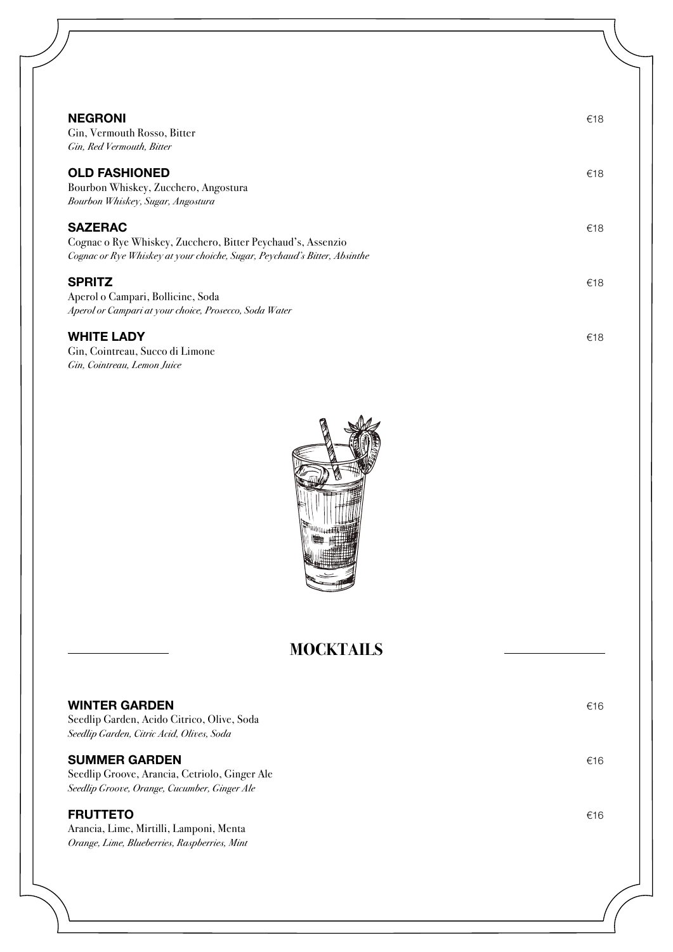| <b>NEGRONI</b><br>Gin, Vermouth Rosso, Bitter<br>Gin, Red Vermouth, Bitter                                                                                 | €18 |
|------------------------------------------------------------------------------------------------------------------------------------------------------------|-----|
| <b>OLD FASHIONED</b><br>Bourbon Whiskey, Zucchero, Angostura<br>Bourbon Whiskey, Sugar, Angostura                                                          | €18 |
| <b>SAZERAC</b><br>Cognac o Rye Whiskey, Zucchero, Bitter Peychaud's, Assenzio<br>Cognac or Rye Whiskey at your choiche, Sugar, Peychaud's Bitter, Absinthe | €18 |
| <b>SPRITZ</b><br>Aperol o Campari, Bollicine, Soda<br>Aperol or Campari at your choice, Prosecco, Soda Water                                               | €18 |
| <b>WHITE LADY</b><br>Gin, Cointreau, Succo di Limone                                                                                                       | €18 |

*Gin, Cointreau, Lemon Juice*



## **MOCKTAILS**

| <b>WINTER GARDEN</b><br>Seedlip Garden, Acido Citrico, Olive, Soda<br>Seedlip Garden, Citric Acid, Olives, Soda       | €16 |
|-----------------------------------------------------------------------------------------------------------------------|-----|
| <b>SUMMER GARDEN</b><br>Seedlip Groove, Arancia, Cetriolo, Ginger Ale<br>Seedlip Groove, Orange, Cucumber, Ginger Ale | €16 |
| <b>FRUTTETO</b><br>Arancia, Lime, Mirtilli, Lamponi, Menta<br>Orange, Lime, Blueberries, Raspberries, Mint            | €16 |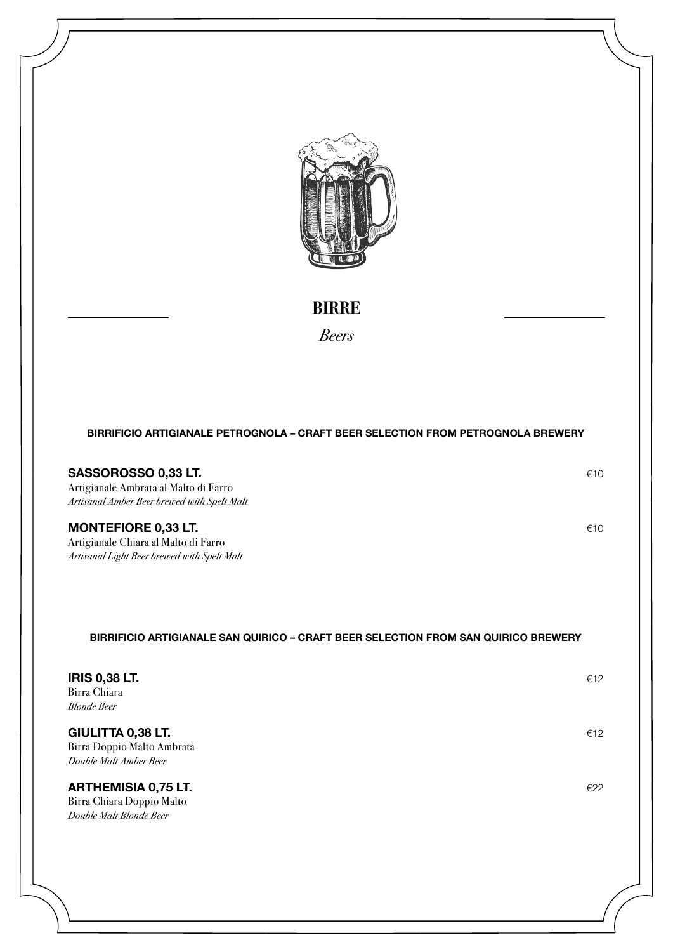

**BIRRE**

*Beers*

#### **BIRRIFICIO ARTIGIANALE PETROGNOLA – CRAFT BEER SELECTION FROM PETROGNOLA BREWERY**

#### **SASSOROSSO 0,33 LT.** €10

Artigianale Ambrata al Malto di Farro *Artisanal Amber Beer brewed with Spelt Malt*

#### **MONTEFIORE 0,33 LT.** €10

Artigianale Chiara al Malto di Farro *Artisanal Light Beer brewed with Spelt Malt*

#### **BIRRIFICIO ARTIGIANALE SAN QUIRICO – CRAFT BEER SELECTION FROM SAN QUIRICO BREWERY**

| <b>IRIS 0,38 LT.</b><br>Birra Chiara<br><b>Blonde Beer</b>                         | €12 |
|------------------------------------------------------------------------------------|-----|
| <b>GIULITTA 0,38 LT.</b><br>Birra Doppio Malto Ambrata<br>Double Malt Amber Beer   | €12 |
| <b>ARTHEMISIA 0,75 LT.</b><br>Birra Chiara Doppio Malto<br>Double Malt Blonde Beer | €22 |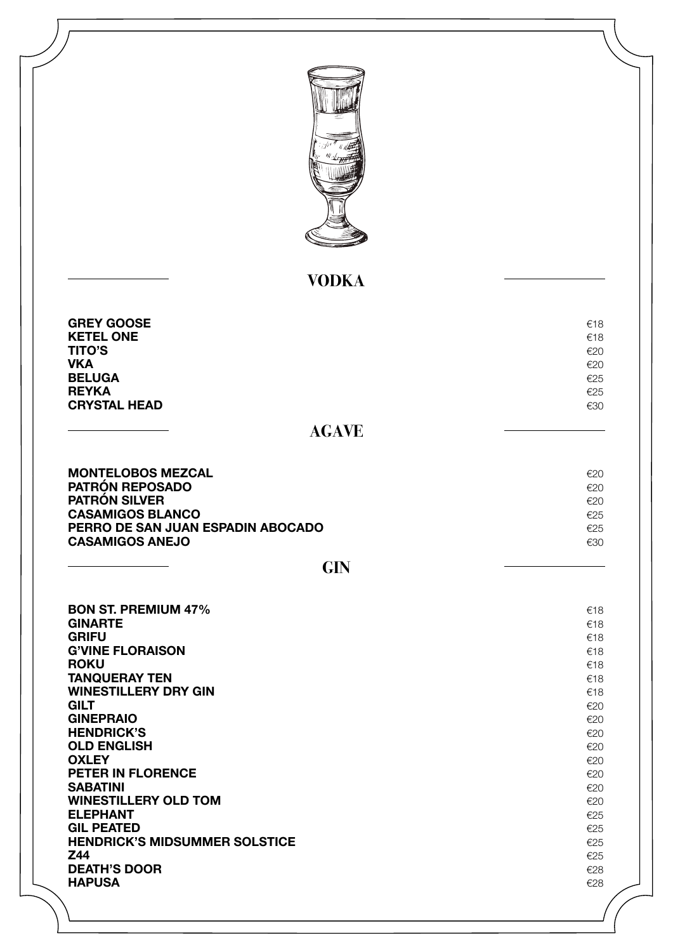| <sup>tan n</sup> a alk<br><sup>Ma</sup> ske <del>rall</del> |
|-------------------------------------------------------------|
|                                                             |
|                                                             |
| ₫                                                           |

## **VODKA**

| <b>GREY GOOSE</b><br><b>KETEL ONE</b><br><b>TITO'S</b><br><b>VKA</b><br><b>BELUGA</b> | €18<br>€18<br>E2C<br>E2C<br>€25 |
|---------------------------------------------------------------------------------------|---------------------------------|
| <b>REYKA</b>                                                                          | €25                             |
| <b>CRYSTAL HEAD</b>                                                                   | €30                             |

## **AGAVE**

| <b>MONTELOBOS MEZCAL</b>          | E20 |
|-----------------------------------|-----|
| <b>PATRÓN REPOSADO</b>            | f2C |
| <b>PATRON SILVER</b>              | €20 |
| <b>CASAMIGOS BLANCO</b>           | E25 |
| PERRO DE SAN JUAN ESPADIN ABOCADO | €25 |
| <b>CASAMIGOS ANEJO</b>            | €30 |
|                                   |     |

| ×<br>v<br>. .<br>۰. |  |
|---------------------|--|
|---------------------|--|

| <b>BON ST. PREMIUM 47%</b>           | €18 |
|--------------------------------------|-----|
| <b>GINARTE</b>                       | €18 |
| <b>GRIFU</b>                         | €18 |
| <b>G'VINE FLORAISON</b>              | €18 |
| <b>ROKU</b>                          | €18 |
| <b>TANQUERAY TEN</b>                 | €18 |
| <b>WINESTILLERY DRY GIN</b>          | €18 |
| <b>GILT</b>                          | €20 |
| <b>GINEPRAIO</b>                     | €20 |
| <b>HENDRICK'S</b>                    | €20 |
| <b>OLD ENGLISH</b>                   | €20 |
| <b>OXLEY</b>                         | €20 |
| <b>PETER IN FLORENCE</b>             | €20 |
| <b>SABATINI</b>                      | €20 |
| <b>WINESTILLERY OLD TOM</b>          | €20 |
| <b>ELEPHANT</b>                      | €25 |
| <b>GIL PEATED</b>                    | €25 |
| <b>HENDRICK'S MIDSUMMER SOLSTICE</b> | €25 |
| Z44                                  | €25 |
| <b>DEATH'S DOOR</b>                  | €28 |
| <b>HAPUSA</b>                        | €28 |
|                                      |     |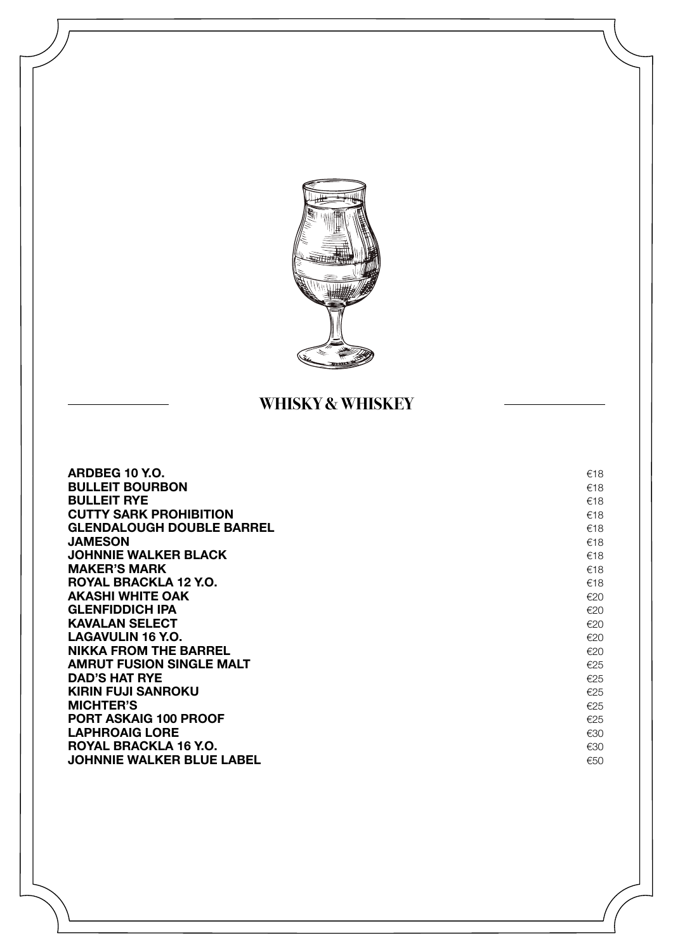

### **WHISKY & WHISKEY**

| ARDBEG 10 Y.O.                   | €18 |
|----------------------------------|-----|
| <b>BULLEIT BOURBON</b>           | €18 |
| <b>BULLEIT RYE</b>               | €18 |
| <b>CUTTY SARK PROHIBITION</b>    | €18 |
| <b>GLENDALOUGH DOUBLE BARREL</b> | €18 |
| <b>JAMESON</b>                   | €18 |
| <b>JOHNNIE WALKER BLACK</b>      | €18 |
| <b>MAKER'S MARK</b>              | €18 |
| ROYAL BRACKLA 12 Y.O.            | €18 |
| <b>AKASHI WHITE OAK</b>          | €20 |
| <b>GLENFIDDICH IPA</b>           | €20 |
| <b>KAVALAN SELECT</b>            | €20 |
| LAGAVULIN 16 Y.O.                | €20 |
| <b>NIKKA FROM THE BARREL</b>     | €20 |
| <b>AMRUT FUSION SINGLE MALT</b>  | €25 |
| <b>DAD'S HAT RYE</b>             | €25 |
| KIRIN FUJI SANROKU               | €25 |
| <b>MICHTER'S</b>                 | €25 |
| <b>PORT ASKAIG 100 PROOF</b>     | €25 |
| <b>LAPHROAIG LORE</b>            | €30 |
| ROYAL BRACKLA 16 Y.O.            | €30 |
| <b>JOHNNIE WALKER BLUE LABEL</b> | €50 |
|                                  |     |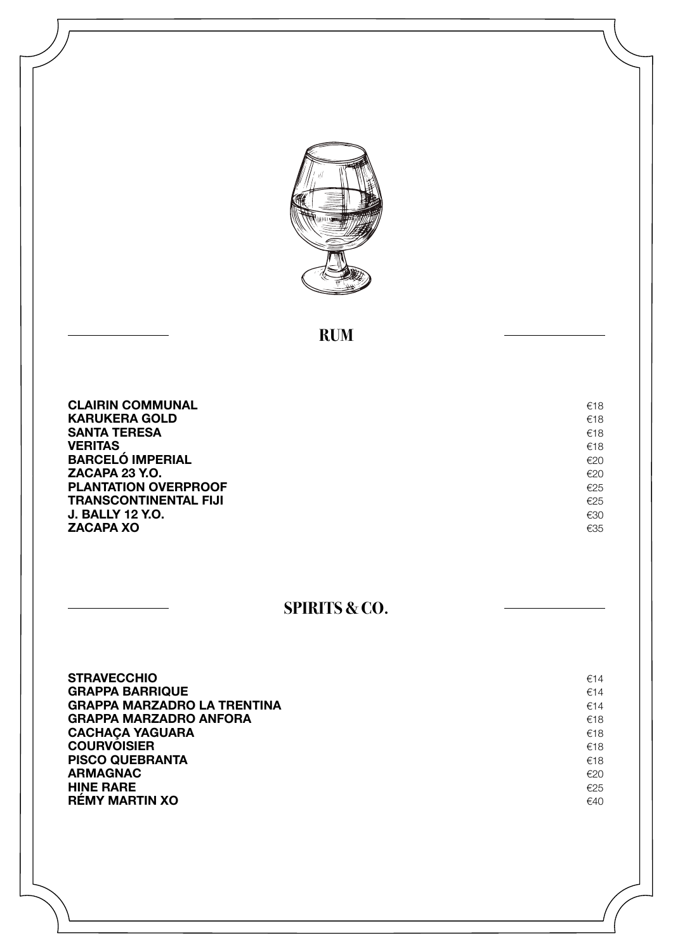

#### **RUM**

**CLAIRIN COMMUNAL** €18<br> **KARUKERA GOLD** €18 **KARUKERA GOLD**<br>**SANTA TERESA** €18 **SANTA TERESA** €18<br>**VERITAS** €18 **VERITAS**  $\epsilon$ <sup>18</sup> **BARCELÓ IMPERIAL €20**<br>**ZACAPA 23 Y.O.** €20 **ZACAPA 23 Y.O.**<br> **PLANTATION OVERPROOF PLANTATION OVERPROOF** €25 **TRANSCONTINENTAL FIJI**<br> **J. BALLY 12 Y.O.** €25 **J. BALLY 12 Y.O.** €30<br>**ZACAPA XO** €35 **ZACAPA XO** 

#### **SPIRITS & CO.**

| <b>STRAVECCHIO</b>                 | €14 |
|------------------------------------|-----|
| <b>GRAPPA BARRIQUE</b>             | €14 |
| <b>GRAPPA MARZADRO LA TRENTINA</b> | €14 |
| <b>GRAPPA MARZADRO ANFORA</b>      | €18 |
| <b>CACHAÇA YAGUARA</b>             | €18 |
| <b>COURVOISIER</b>                 | €18 |
| <b>PISCO QUEBRANTA</b>             | €18 |
| <b>ARMAGNAC</b>                    | €20 |
| <b>HINE RARE</b>                   | €25 |
| <b>RÉMY MARTIN XO</b>              | €40 |
|                                    |     |